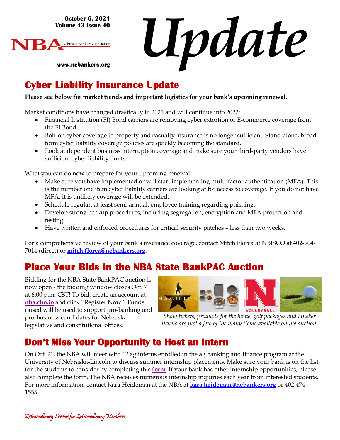**October 6, 2021 Volume 43 Issue 40**

**www.nebankers.org**



*Update*

### **Cyber Liability Insurance Update**

#### **Please see below for market trends and important logistics for your bank's upcoming renewal.**

Market conditions have changed drastically in 2021 and will continue into 2022:

- Financial Institution (FI) Bond carriers are removing cyber extortion or E-commerce coverage from the FI Bond.
- Bolt-on cyber coverage to property and casualty insurance is no longer sufficient. Stand-alone, broad form cyber liability coverage policies are quickly becoming the standard.
- Look at dependent business interruption coverage and make sure your third-party vendors have sufficient cyber liability limits.

What you can do now to prepare for your upcoming renewal:

- Make sure you have implemented or will start implementing multi-factor authentication (MFA). This is the number one item cyber liability carriers are looking at for access to coverage. If you do not have MFA, it is unlikely coverage will be extended.
- Schedule regular, at least semi-annual, employee training regarding phishing.
- Develop strong backup procedures, including segregation, encryption and MFA protection and testing.
- Have written and enforced procedures for critical security patches less than two weeks.

For a comprehensive review of your bank's insurance coverage, contact Mitch Florea at NBISCO at 402-904- 7014 (direct) or **[mitch.florea@nebankers.org](mailto:mitch.florea@nebankers.org)**.

## **Place Your Bids in the NBA State BankPAC Auction**

Bidding for the NBA State BankPAC auction is now open - the bidding window closes Oct. 7 at 6:00 p.m. CST! To bid, create an account at **[nba.cbo.io](https://cbo.io/bidapp/index.php?slug=nba)** and click "Register Now." Funds raised will be used to support pro-banking and pro-business candidates for Nebraska legislative and constitutional offices.



*[Show tickets, p](https://cbo.io/bidapp/index.php?slug=nba)roducts for the [home, golf packages and Husker](https://cbo.io/bidapp/index.php?slug=nba)  tickets are just a few of the many items available on the auction.*

#### **Don't Miss Your Opportunity to Host an Intern**

On Oct. 21, the NBA will meet with 12 ag interns enrolled in the ag banking and finance program at the University of Nebraska-Lincoln to discuss summer internship placements. Make sure your bank is on the list for the students to consider by completing [this](https://www.nebankers.org/intern-host.html) **form**.

If your bank has other internship opportunities, please also [complete the form. The NBA recei](mailto:kara.heideman@nebankers.org)ves numerous internship inquiries each year from interested students. For more information, contact Kara Heideman at the NBA at **kara.heideman@nebankers.org** or 402-474-1555.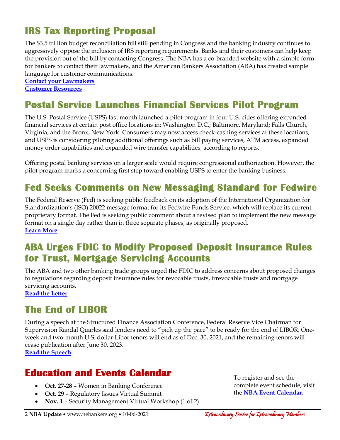## **IRS Tax Reporting Proposal**

The \$3.5 trillion budget reconciliation bill still pending in Congress and the banking industry continues to aggressively oppose the inclusion of IRS reporting requirements. Banks and their customers can help keep the provision out of the bill by contacting Congress. The NBA has a co-branded website with a simple form for bankers to contact their lawmakers, and the American Bankers Association (ABA) has created [sample](https://secureamericanopportunity.com/irs-proposal-resources/)  [language for customer communications.](https://secureamericanopportunity.com/irs-proposal-resources/)

**[Contact your Lawmakers](https://secureamericanopportunity.com/take-action/ne-bankers-oppose-new-irs-reporting-requirements/) [Customer Resources](https://secureamericanopportunity.com/irs-proposal-resources/)**

## **Postal Service Launches Financial Services Pilot Program**

The U.S. Postal Service (USPS) last month launched a pilot program in four U.S. cities offering expanded financial services at certain post office locations in: Washington D.C.; Baltimore, Maryland; Falls Church, Virginia; and the Bronx, New York. Consumers may now access check-cashing services at these locations, and USPS is considering piloting additional offerings such as bill paying services, ATM access, expanded money order capabilities and expanded wire transfer capabilities, according to reports.

Offering postal banking services on a larger scale would require congressional authorization. However, the pilot program marks a concerning first step toward enabling USPS to enter the banking business.

#### **Fed Seeks Comments on New Messaging Standard for Fedwire**

The Federal Reserve (Fed) is seeking public feedback on its adoption of the International Organization for Standardization's (ISO) 20022 message format for its Fedwire Funds Service, which will replace its current proprietary format. The Fed is seeking public comment about a revised plan to implement the new message format on a single day rather than in three separate phases, as originally proposed. **[Learn More](https://www.federalreserve.gov/newsevents/pressreleases/other20211004a.htm)**

### **ABA Urges FDIC to Modify Proposed Deposit Insurance Rules for Trust, Mortgage Servicing Accounts**

The ABA and two other banking trade groups urged the FDIC to address concerns about proposed changes to regulations regarding deposit insurance rules for revocable trusts, irrevocable trusts and mortgage servicing accounts.

**[Read the Letter](https://www.aba.com/advocacy/policy-analysis/simplification-of-deposit-insurance-rules#_ga=2.191393386.1747345054.1633531089-1224110176.1629898688)**

#### **The End of LIBOR**

During a speech at the Structured Finance Association Conference, Federal Reserve Vice Chairman for Supervision Randal Quarles said lenders need to "pick up the pace" to be ready for the end of LIBOR. Oneweek and two-month U.S. dollar Libor tenors will end as of Dec. 30, 2021, and the remaining tenors will cease publication after June 30, 2023.

**[Read the Speech](https://www.federalreserve.gov/newsevents/speech/quarles20211005a.htm)**

#### **Education and Events Calendar**

- **Oct**. **27-28** Women in Banking Conference
- **Oct. 29** Regulatory Issues Virtual Summit
- **Nov. 1** Security Management Virtual Workshop (1 of 2)

To register and see the complete event schedule, visit the **[NBA Event Calendar](https://web.nebankers.org/events)**.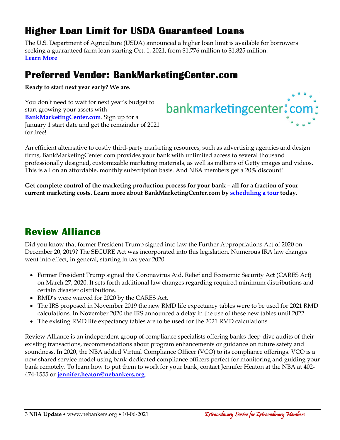## **Higher Loan Limit for USDA Guaranteed Loans**

The U.S. Department of Agriculture (USDA) announced a higher loan limit is available for borrowers seeking a guaranteed farm loan starting Oct. 1, 2021, from \$1.776 million to \$1.825 million. **[Learn More](https://www.fsa.usda.gov/news-room/news-releases/2021/higher-loan-limit-now-available-for-usda-guaranteed-farm-loans)**

## **Preferred Vendor: BankMarketingCenter.com**

**Ready to start next year early? We are.**

You don't need to wait for next year's budget to start growing your assets with **[BankMarketingCenter.com](https://www.bankmarketingcenter.com/r/public/homepage?utm_source=jackpot)**. Sign up for a January 1 start date and get the remainder of 2021 for free!

# bankmarketingcenter: com ;

An efficient alternative to costly third-party marketing resources, such as advertising agencies and design firms, BankMarketingCenter.com provides your bank with unlimited access to several thousand professionally designed, customizable marketing materials, as well as millions of Getty images and videos. This is all on an affordable, monthly subscription basis. And NBA members get a 20% discount!

**Get complete control of the marketing production process for your bank – all for a fraction of your current marketing costs. Learn more about BankMarketingCenter.com by [scheduling a tour](https://calendly.com/bankmarketingcenter/demo?utm_source=jackpot) today.**

## **Review Alliance**

Did you know that former President Trump signed into law the Further Appropriations Act of 2020 on December 20, 2019? The SECURE Act was incorporated into this legislation. Numerous IRA law changes went into effect, in general, starting in tax year 2020.

- Former President Trump signed the Coronavirus Aid, Relief and Economic Security Act (CARES Act) on March 27, 2020. It sets forth additional law changes regarding required minimum distributions and certain disaster distributions.
- RMD's were waived for 2020 by the CARES Act.
- The IRS proposed in November 2019 the new RMD life expectancy tables were to be used for 2021 RMD calculations. In November 2020 the IRS announced a delay in the use of these new tables until 2022.
- The existing RMD life expectancy tables are to be used for the 2021 RMD calculations.

Review Alliance is an independent group of compliance specialists offering banks deep-dive audits of their existing transactions, recommendations about program enhancements or guidance on future safety and soundness. In 2020, the NBA added Virtual Compliance Officer (VCO) to its compliance offerings. VCO is a new shared service model using bank-dedicated compliance officers perfect for monitoring and guiding your bank remotely. To learn how to put them to work for your bank, contact Jennifer Heaton at the NBA at 402- 474-1555 or **[jennifer.heaton@nebankers.org](mailto:jennifer.heaton@nebankers.org)**.